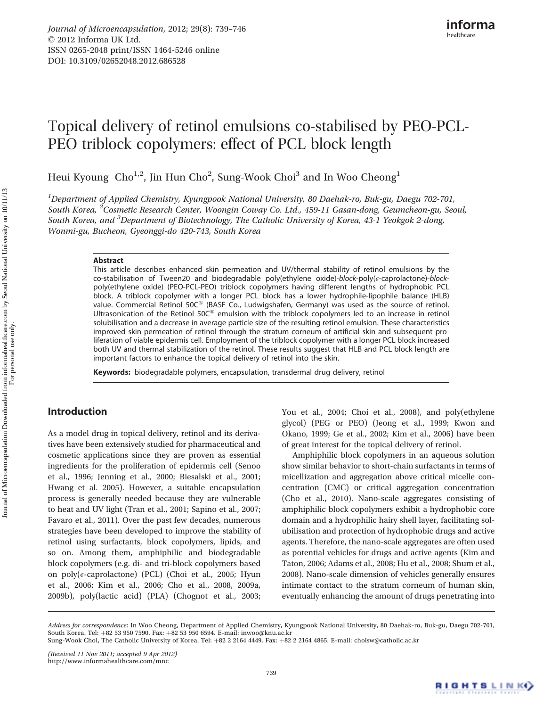# Topical delivery of retinol emulsions co-stabilised by PEO-PCL-PEO triblock copolymers: effect of PCL block length

Heui Kyoung  $Cho^{1,2}$ , Jin Hun Cho<sup>2</sup>, Sung-Wook Choi $^3$  and In Woo Cheong $^1$ 

<sup>1</sup>Department of Applied Chemistry, Kyungpook National University, 80 Daehak-ro, Buk-gu, Daegu 702-701, South Korea, <sup>2</sup>Cosmetic Research Center, Woongin Coway Co. Ltd., 459-11 Gasan-dong, Geumcheon-gu, Seoul, South Korea, and <sup>3</sup>Department of Biotechnology, The Catholic University of Korea, 43-1 Yeokgok 2-dong, Wonmi-gu, Bucheon, Gyeonggi-do 420-743, South Korea

### Abstract

This article describes enhanced skin permeation and UV/thermal stability of retinol emulsions by the co-stabilisation of Tween20 and biodegradable poly(ethylene oxide)-block-poly(e-caprolactone)-blockpoly(ethylene oxide) (PEO-PCL-PEO) triblock copolymers having different lengths of hydrophobic PCL block. A triblock copolymer with a longer PCL block has a lower hydrophile-lipophile balance (HLB) value. Commercial Retinol 50C<sup>®</sup> (BASF Co., Ludwigshafen, Germany) was used as the source of retinol. Ultrasonication of the Retinol 50 $C^{\circledast}$  emulsion with the triblock copolymers led to an increase in retinol solubilisation and a decrease in average particle size of the resulting retinol emulsion. These characteristics improved skin permeation of retinol through the stratum corneum of artificial skin and subsequent proliferation of viable epidermis cell. Employment of the triblock copolymer with a longer PCL block increased both UV and thermal stabilization of the retinol. These results suggest that HLB and PCL block length are important factors to enhance the topical delivery of retinol into the skin.

Keywords: biodegradable polymers, encapsulation, transdermal drug delivery, retinol

# Introduction

As a model drug in topical delivery, retinol and its derivatives have been extensively studied for pharmaceutical and cosmetic applications since they are proven as essential ingredients for the proliferation of epidermis cell (Senoo et al., 1996; Jenning et al., 2000; Biesalski et al., 2001; Hwang et al. 2005). However, a suitable encapsulation process is generally needed because they are vulnerable to heat and UV light (Tran et al., 2001; Sapino et al., 2007; Favaro et al., 2011). Over the past few decades, numerous strategies have been developed to improve the stability of retinol using surfactants, block copolymers, lipids, and so on. Among them, amphiphilic and biodegradable block copolymers (e.g. di- and tri-block copolymers based on poly( $\epsilon$ -caprolactone) (PCL) (Choi et al., 2005; Hyun et al., 2006; Kim et al., 2006; Cho et al., 2008, 2009a, 2009b), poly(lactic acid) (PLA) (Chognot et al., 2003;

You et al., 2004; Choi et al., 2008), and poly(ethylene glycol) (PEG or PEO) (Jeong et al., 1999; Kwon and Okano, 1999; Ge et al., 2002; Kim et al., 2006) have been of great interest for the topical delivery of retinol.

Amphiphilic block copolymers in an aqueous solution show similar behavior to short-chain surfactants in terms of micellization and aggregation above critical micelle concentration (CMC) or critical aggregation concentration (Cho et al., 2010). Nano-scale aggregates consisting of amphiphilic block copolymers exhibit a hydrophobic core domain and a hydrophilic hairy shell layer, facilitating solubilisation and protection of hydrophobic drugs and active agents. Therefore, the nano-scale aggregates are often used as potential vehicles for drugs and active agents (Kim and Taton, 2006; Adams et al., 2008; Hu et al., 2008; Shum et al., 2008). Nano-scale dimension of vehicles generally ensures intimate contact to the stratum corneum of human skin, eventually enhancing the amount of drugs penetrating into

Address for correspondence: In Woo Cheong, Department of Applied Chemistry, Kyungpook National University, 80 Daehak-ro, Buk-gu, Daegu 702-701, South Korea. Tel: +82 53 950 7590. Fax: +82 53 950 6594. E-mail: inwoo@knu.ac.kr

Sung-Wook Choi, The Catholic University of Korea. Tel: +82 2 2164 4449. Fax: +82 2 2164 4865. E-mail: choisw@catholic.ac.kr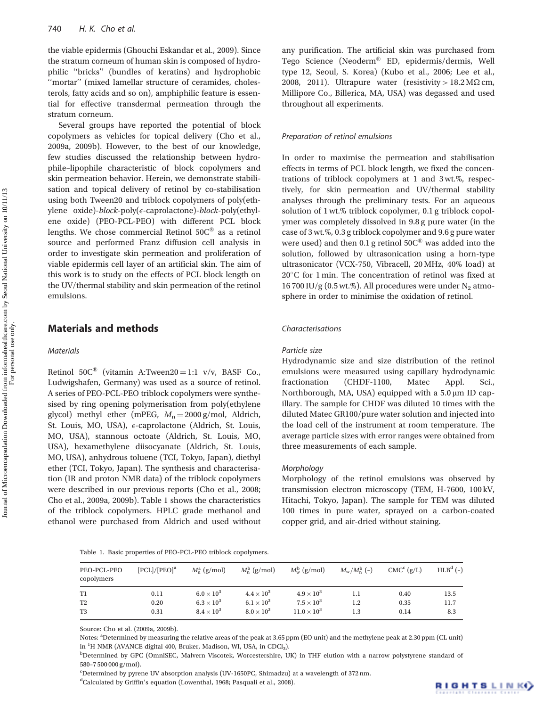the viable epidermis (Ghouchi Eskandar et al., 2009). Since the stratum corneum of human skin is composed of hydrophilic ''bricks'' (bundles of keratins) and hydrophobic ''mortar'' (mixed lamellar structure of ceramides, cholesterols, fatty acids and so on), amphiphilic feature is essential for effective transdermal permeation through the stratum corneum.

Several groups have reported the potential of block copolymers as vehicles for topical delivery (Cho et al., 2009a, 2009b). However, to the best of our knowledge, few studies discussed the relationship between hydrophile–lipophile characteristic of block copolymers and skin permeation behavior. Herein, we demonstrate stabilisation and topical delivery of retinol by co-stabilisation using both Tween20 and triblock copolymers of poly(ethylene oxide)-*block*-poly( $\epsilon$ -caprolactone)-*block*-poly(ethylene oxide) (PEO-PCL-PEO) with different PCL block lengths. We chose commercial Retinol  $50C<sup>®</sup>$  as a retinol source and performed Franz diffusion cell analysis in order to investigate skin permeation and proliferation of viable epidermis cell layer of an artificial skin. The aim of this work is to study on the effects of PCL block length on the UV/thermal stability and skin permeation of the retinol emulsions.

# Materials and methods

## **Materials**

Retinol 50 $C^{\circledR}$  (vitamin A:Tween20 = 1:1 v/v, BASF Co., Ludwigshafen, Germany) was used as a source of retinol. A series of PEO-PCL-PEO triblock copolymers were synthesised by ring opening polymerisation from poly(ethylene glycol) methyl ether (mPEG,  $M_n = 2000$  g/mol, Aldrich, St. Louis, MO, USA), e-caprolactone (Aldrich, St. Louis, MO, USA), stannous octoate (Aldrich, St. Louis, MO, USA), hexamethylene diisocyanate (Aldrich, St. Louis, MO, USA), anhydrous toluene (TCI, Tokyo, Japan), diethyl ether (TCI, Tokyo, Japan). The synthesis and characterisation (IR and proton NMR data) of the triblock copolymers were described in our previous reports (Cho et al., 2008; Cho et al., 2009a, 2009b). Table 1 shows the characteristics of the triblock copolymers. HPLC grade methanol and ethanol were purchased from Aldrich and used without

any purification. The artificial skin was purchased from Tego Science (Neoderm® ED, epidermis/dermis, Well type 12, Seoul, S. Korea) (Kubo et al., 2006; Lee et al., 2008, 2011). Ultrapure water (resistivity >  $18.2\,\mathrm{M}\Omega\,\mathrm{cm}$ , Millipore Co., Billerica, MA, USA) was degassed and used throughout all experiments.

## Preparation of retinol emulsions

In order to maximise the permeation and stabilisation effects in terms of PCL block length, we fixed the concentrations of triblock copolymers at 1 and 3 wt.%, respectively, for skin permeation and UV/thermal stability analyses through the preliminary tests. For an aqueous solution of 1 wt.% triblock copolymer, 0.1 g triblock copolymer was completely dissolved in 9.8 g pure water (in the case of 3 wt.%, 0.3 g triblock copolymer and 9.6 g pure water were used) and then 0.1 g retinol  $50C<sup>®</sup>$  was added into the solution, followed by ultrasonication using a horn-type ultrasonicator (VCX-750, Vibracell, 20 MHz, 40% load) at 20°C for 1 min. The concentration of retinol was fixed at 16 700 IU/g (0.5 wt.%). All procedures were under  $N_2$  atmosphere in order to minimise the oxidation of retinol.

### Characterisations

#### Particle size

Hydrodynamic size and size distribution of the retinol emulsions were measured using capillary hydrodynamic fractionation (CHDF-1100, Matec Appl. Sci., Northborough, MA, USA) equipped with a  $5.0 \mu m$  ID capillary. The sample for CHDF was diluted 10 times with the diluted Matec GR100/pure water solution and injected into the load cell of the instrument at room temperature. The average particle sizes with error ranges were obtained from three measurements of each sample.

#### Morphology

Morphology of the retinol emulsions was observed by transmission electron microscopy (TEM, H-7600, 100 kV, Hitachi, Tokyo, Japan). The sample for TEM was diluted 100 times in pure water, sprayed on a carbon-coated copper grid, and air-dried without staining.

|  |  |  |  |  |  | Table 1. Basic properties of PEO-PCL-PEO triblock copolymers. |
|--|--|--|--|--|--|---------------------------------------------------------------|
|--|--|--|--|--|--|---------------------------------------------------------------|

| PEO-PCL-PEO<br>copolymers | [PCL]/[PEO] <sup>a</sup> | $M_n^a$ (g/mol)     | $M_{\rm n}^{\rm b}$ (g/mol) | $M_{\rm w}^{\rm b}$ (g/mol) | $M_{\rm w}/M_{\rm n}^{\rm b}$ (-) | $CMC^{c}$ (g/L) | $HLBd(-)$ |
|---------------------------|--------------------------|---------------------|-----------------------------|-----------------------------|-----------------------------------|-----------------|-----------|
| T <sub>1</sub>            | 0.11                     | $6.0 \times 10^3$   | $4.4 \times 10^3$           | $4.9 \times 10^3$           | $_{1.1}$                          | 0.40            | 13.5      |
| T <sub>2</sub>            | 0.20                     | $6.3 \times 10^{3}$ | $6.1 \times 10^{3}$         | $7.5 \times 10^{3}$         | $1.2\,$                           | 0.35            | 11.7      |
| T3                        | 0.31                     | $8.4 \times 10^{3}$ | $8.0 \times 10^3$           | $11.0 \times 10^{3}$        | 1.3                               | 0.14            | 8.3       |

Source: Cho et al. (2009a, 2009b).

Notes: <sup>a</sup>Determined by measuring the relative areas of the peak at 3.65 ppm (EO unit) and the methylene peak at 2.30 ppm (CL unit) in <sup>1</sup>H NMR (AVANCE digital 400, Bruker, Madison, WI, USA, in CDCl<sub>3</sub>).<br><sup>b</sup>Determined by CPC (OmniSEC, Malyorn Viscotek, Warsestersbire, U

<sup>c</sup>Determined by pyrene UV absorption analysis (UV-1650PC, Shimadzu) at a wavelength of 372 nm.

<sup>d</sup>Calculated by Griffin's equation (Lowenthal, 1968; Pasquali et al., 2008).

For personal use only.

<sup>&</sup>lt;sup>b</sup>Determined by GPC (OmniSEC, Malvern Viscotek, Worcestershire, UK) in THF elution with a narrow polystyrene standard of 580–7 500 000 g/mol).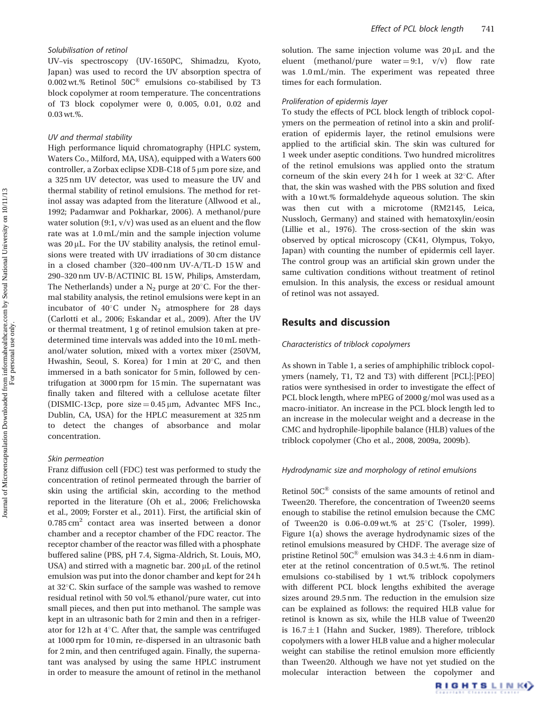## Solubilisation of retinol

UV–vis spectroscopy (UV-1650PC, Shimadzu, Kyoto, Japan) was used to record the UV absorption spectra of 0.002 wt.% Retinol  $50C^{\circledR}$  emulsions co-stabilised by T3 block copolymer at room temperature. The concentrations of T3 block copolymer were 0, 0.005, 0.01, 0.02 and 0.03 wt.%.

#### UV and thermal stability

High performance liquid chromatography (HPLC system, Waters Co., Milford, MA, USA), equipped with a Waters 600 controller, a Zorbax eclipse XDB-C18 of 5 µm pore size, and a 325 nm UV detector, was used to measure the UV and thermal stability of retinol emulsions. The method for retinol assay was adapted from the literature (Allwood et al., 1992; Padamwar and Pokharkar, 2006). A methanol/pure water solution  $(9:1, v/v)$  was used as an eluent and the flow rate was at 1.0 mL/min and the sample injection volume was  $20 \mu L$ . For the UV stability analysis, the retinol emulsions were treated with UV irradiations of 30 cm distance in a closed chamber (320–400 nm UV-A/TL-D 15 W and 290–320 nm UV-B/ACTINIC BL 15 W, Philips, Amsterdam, The Netherlands) under a  $N_2$  purge at 20 $^{\circ}$ C. For the thermal stability analysis, the retinol emulsions were kept in an incubator of  $40^{\circ}$ C under N<sub>2</sub> atmosphere for 28 days (Carlotti et al., 2006; Eskandar et al., 2009). After the UV or thermal treatment, 1 g of retinol emulsion taken at predetermined time intervals was added into the 10 mL methanol/water solution, mixed with a vortex mixer (250VM, Hwashin, Seoul, S. Korea) for 1 min at 20°C, and then immersed in a bath sonicator for 5 min, followed by centrifugation at 3000 rpm for 15 min. The supernatant was finally taken and filtered with a cellulose acetate filter (DISMIC-13cp, pore size  $= 0.45 \,\mu$ m, Advantec MFS Inc., Dublin, CA, USA) for the HPLC measurement at 325 nm to detect the changes of absorbance and molar concentration.

#### Skin permeation

Franz diffusion cell (FDC) test was performed to study the concentration of retinol permeated through the barrier of skin using the artificial skin, according to the method reported in the literature (Oh et al., 2006; Frelichowska et al., 2009; Forster et al., 2011). First, the artificial skin of  $0.785 \text{ cm}^2$  contact area was inserted between a donor chamber and a receptor chamber of the FDC reactor. The receptor chamber of the reactor was filled with a phosphate buffered saline (PBS, pH 7.4, Sigma-Aldrich, St. Louis, MO, USA) and stirred with a magnetic bar.  $200 \mu L$  of the retinol emulsion was put into the donor chamber and kept for 24 h at 32°C. Skin surface of the sample was washed to remove residual retinol with 50 vol.% ethanol/pure water, cut into small pieces, and then put into methanol. The sample was kept in an ultrasonic bath for 2 min and then in a refrigerator for  $12h$  at  $4^{\circ}$ C. After that, the sample was centrifuged at 1000 rpm for 10 min, re-dispersed in an ultrasonic bath for 2 min, and then centrifuged again. Finally, the supernatant was analysed by using the same HPLC instrument in order to measure the amount of retinol in the methanol

solution. The same injection volume was  $20 \mu L$  and the eluent (methanol/pure water = 9:1,  $v/v$ ) flow rate was 1.0 mL/min. The experiment was repeated three times for each formulation.

## Proliferation of epidermis layer

To study the effects of PCL block length of triblock copolymers on the permeation of retinol into a skin and proliferation of epidermis layer, the retinol emulsions were applied to the artificial skin. The skin was cultured for 1 week under aseptic conditions. Two hundred microlitres of the retinol emulsions was applied onto the stratum corneum of the skin every 24h for 1 week at 32°C. After that, the skin was washed with the PBS solution and fixed with a 10 wt.% formaldehyde aqueous solution. The skin was then cut with a microtome (RM2145, Leica, Nussloch, Germany) and stained with hematoxylin/eosin (Lillie et al., 1976). The cross-section of the skin was observed by optical microscopy (CK41, Olympus, Tokyo, Japan) with counting the number of epidermis cell layer. The control group was an artificial skin grown under the same cultivation conditions without treatment of retinol emulsion. In this analysis, the excess or residual amount of retinol was not assayed.

## Results and discussion

## Characteristics of triblock copolymers

As shown in Table 1, a series of amphiphilic triblock copolymers (namely, T1, T2 and T3) with different [PCL]:[PEO] ratios were synthesised in order to investigate the effect of PCL block length, where mPEG of 2000 g/mol was used as a macro-initiator. An increase in the PCL block length led to an increase in the molecular weight and a decrease in the CMC and hydrophile-lipophile balance (HLB) values of the triblock copolymer (Cho et al., 2008, 2009a, 2009b).

## Hydrodynamic size and morphology of retinol emulsions

Retinol  $50C^{\circledR}$  consists of the same amounts of retinol and Tween20. Therefore, the concentration of Tween20 seems enough to stabilise the retinol emulsion because the CMC of Tween20 is 0.06-0.09 wt.% at 25°C (Tsoler, 1999). Figure 1(a) shows the average hydrodynamic sizes of the retinol emulsions measured by CHDF. The average size of pristine Retinol 50 $C^{\otimes}$  emulsion was 34.3  $\pm$  4.6 nm in diameter at the retinol concentration of 0.5 wt.%. The retinol emulsions co-stabilised by 1 wt.% triblock copolymers with different PCL block lengths exhibited the average sizes around 29.5 nm. The reduction in the emulsion size can be explained as follows: the required HLB value for retinol is known as six, while the HLB value of Tween20 is  $16.7 \pm 1$  (Hahn and Sucker, 1989). Therefore, triblock copolymers with a lower HLB value and a higher molecular weight can stabilise the retinol emulsion more efficiently than Tween20. Although we have not yet studied on the molecular interaction between the copolymer and

For personal use only.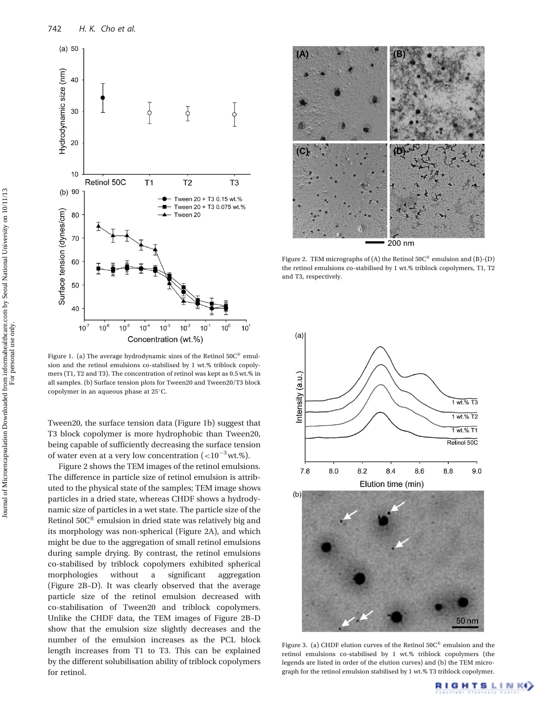

Figure 1. (a) The average hydrodynamic sizes of the Retinol  $50C^{\circledast}$  emulsion and the retinol emulsions co-stabilised by 1 wt.% triblock copolymers (T1, T2 and T3). The concentration of retinol was kept as 0.5 wt.% in all samples. (b) Surface tension plots for Tween20 and Tween20/T3 block copolymer in an aqueous phase at  $25^{\circ}$ C.

Tween20, the surface tension data (Figure 1b) suggest that T3 block copolymer is more hydrophobic than Tween20, being capable of sufficiently decreasing the surface tension of water even at a very low concentration (< $10^{-3}$  wt.%).

Figure 2 shows the TEM images of the retinol emulsions. The difference in particle size of retinol emulsion is attributed to the physical state of the samples; TEM image shows particles in a dried state, whereas CHDF shows a hydrodynamic size of particles in a wet state. The particle size of the Retinol  $50C<sup>®</sup>$  emulsion in dried state was relatively big and its morphology was non-spherical (Figure 2A), and which might be due to the aggregation of small retinol emulsions during sample drying. By contrast, the retinol emulsions co-stabilised by triblock copolymers exhibited spherical morphologies without a significant aggregation (Figure 2B–D). It was clearly observed that the average particle size of the retinol emulsion decreased with co-stabilisation of Tween20 and triblock copolymers. Unlike the CHDF data, the TEM images of Figure 2B–D show that the emulsion size slightly decreases and the number of the emulsion increases as the PCL block length increases from T1 to T3. This can be explained by the different solubilisation ability of triblock copolymers for retinol.



Figure 2. TEM micrographs of (A) the Retinol  $50C^{\circ}$  emulsion and (B)-(D) the retinol emulsions co-stabilised by 1 wt.% triblock copolymers, T1, T2 and T3, respectively.



Figure 3. (a) CHDF elution curves of the Retinol  $50C<sup>®</sup>$  emulsion and the retinol emulsions co-stabilised by 1 wt.% triblock copolymers (the legends are listed in order of the elution curves) and (b) the TEM micrograph for the retinol emulsion stabilised by 1 wt.% T3 triblock copolymer.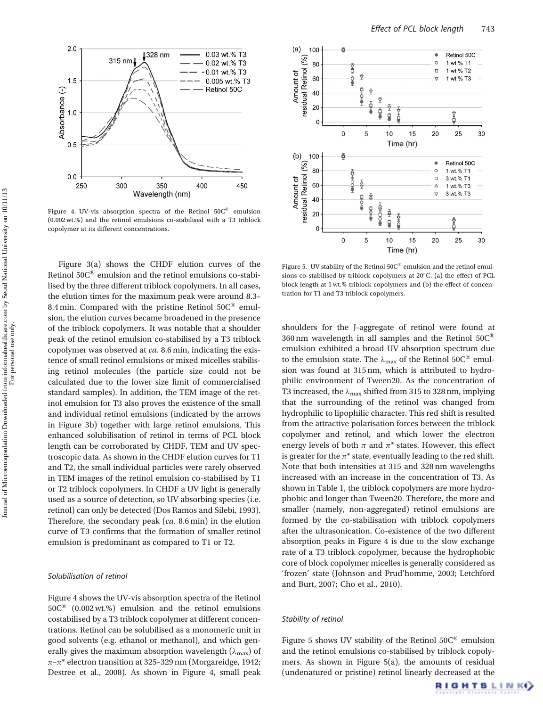

Figure 4. UV-vis absorption spectra of the Retinol  $50C^{\circledast}$  emulsion (0.002 wt.%) and the retinol emulsions co-stabilised with a T3 triblock copolymer at its different concentrations.

Figure 3(a) shows the CHDF elution curves of the Retinol 50C® emulsion and the retinol emulsions co-stabilised by the three different triblock copolymers. In all cases, the elution times for the maximum peak were around 8.3– 8.4 min. Compared with the pristine Retinol  $50C^{\circledR}$  emulsion, the elution curves became broadened in the presence of the triblock copolymers. It was notable that a shoulder peak of the retinol emulsion co-stabilised by a T3 triblock copolymer was observed at ca. 8.6 min, indicating the existence of small retinol emulsions or mixed micelles stabilising retinol molecules (the particle size could not be calculated due to the lower size limit of commercialised standard samples). In addition, the TEM image of the retinol emulsion for T3 also proves the existence of the small and individual retinol emulsions (indicated by the arrows in Figure 3b) together with large retinol emulsions. This enhanced solubilisation of retinol in terms of PCL block length can be corroborated by CHDF, TEM and UV spectroscopic data. As shown in the CHDF elution curves for T1 and T2, the small individual particles were rarely observed in TEM images of the retinol emulsion co-stabilised by T1 or T2 triblock copolymers. In CHDF a UV light is generally used as a source of detection, so UV absorbing species (i.e. retinol) can only be detected (Dos Ramos and Silebi, 1993). Therefore, the secondary peak (ca. 8.6 min) in the elution curve of T3 confirms that the formation of smaller retinol emulsion is predominant as compared to T1 or T2.

## Solubilisation of retinol

Figure 4 shows the UV-vis absorption spectra of the Retinol  $50C^{\circ}$  (0.002 wt.%) emulsion and the retinol emulsions costabilised by a T3 triblock copolymer at different concentrations. Retinol can be solubilised as a monomeric unit in good solvents (e.g. ethanol or methanol), and which generally gives the maximum absorption wavelength ( $\lambda_{\text{max}}$ ) of  $\pi$ - $\pi$ <sup>\*</sup> electron transition at 325-329 nm (Morgareidge, 1942; Destree et al., 2008). As shown in Figure 4, small peak



Figure 5. UV stability of the Retinol 50C® emulsion and the retinol emulsions co-stabilised by triblock copolymers at  $20^{\circ}$ C. (a) the effect of PCL block length at 1 wt.% triblock copolymers and (b) the effect of concentration for T1 and T3 triblock copolymers.

shoulders for the J-aggregate of retinol were found at 360 nm wavelength in all samples and the Retinol  $50C^{\circ}$ emulsion exhibited a broad UV absorption spectrum due to the emulsion state. The  $\lambda_{\text{max}}$  of the Retinol 50C<sup>®</sup> emulsion was found at 315 nm, which is attributed to hydrophilic environment of Tween20. As the concentration of T3 increased, the  $\lambda_{\text{max}}$  shifted from 315 to 328 nm, implying that the surrounding of the retinol was changed from hydrophilic to lipophilic character. This red shift is resulted from the attractive polarisation forces between the triblock copolymer and retinol, and which lower the electron energy levels of both  $\pi$  and  $\pi^*$  states. However, this effect is greater for the  $\pi^*$  state, eventually leading to the red shift. Note that both intensities at 315 and 328 nm wavelengths increased with an increase in the concentration of T3. As shown in Table 1, the triblock copolymers are more hydrophobic and longer than Tween20. Therefore, the more and smaller (namely, non-aggregated) retinol emulsions are formed by the co-stabilisation with triblock copolymers after the ultrasonication. Co-existence of the two different absorption peaks in Figure 4 is due to the slow exchange rate of a T3 triblock copolymer, because the hydrophobic core of block copolymer micelles is generally considered as 'frozen' state (Johnson and Prud'homme, 2003; Letchford and Burt, 2007; Cho et al., 2010).

#### Stability of retinol

Figure 5 shows UV stability of the Retinol  $50C<sup>®</sup>$  emulsion and the retinol emulsions co-stabilised by triblock copolymers. As shown in Figure 5(a), the amounts of residual (undenatured or pristine) retinol linearly decreased at the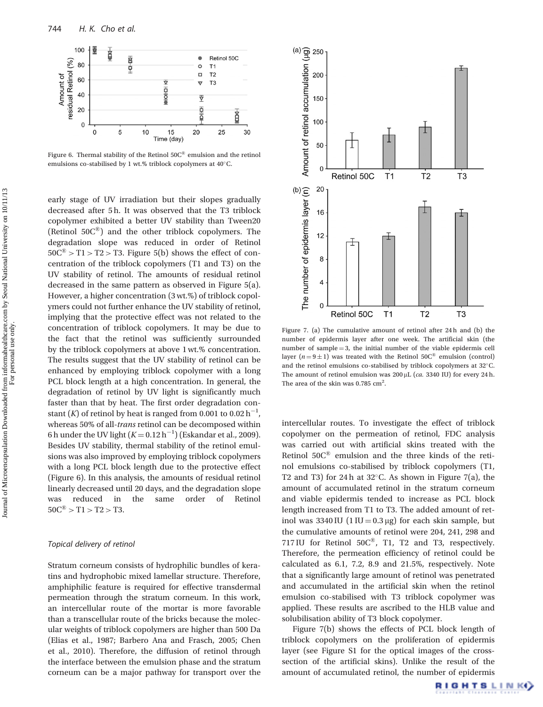

Figure 6. Thermal stability of the Retinol  $50C^{\circledast}$  emulsion and the retinol emulsions co-stabilised by 1 wt.% triblock copolymers at 40°C.

early stage of UV irradiation but their slopes gradually decreased after 5 h. It was observed that the T3 triblock copolymer exhibited a better UV stability than Tween20 (Retinol  $50C^{\circledR}$ ) and the other triblock copolymers. The degradation slope was reduced in order of Retinol  $50C^{\circledR} > T1 > T2 > T3$ . Figure 5(b) shows the effect of concentration of the triblock copolymers (T1 and T3) on the UV stability of retinol. The amounts of residual retinol decreased in the same pattern as observed in Figure 5(a). However, a higher concentration (3 wt.%) of triblock copolymers could not further enhance the UV stability of retinol, implying that the protective effect was not related to the concentration of triblock copolymers. It may be due to the fact that the retinol was sufficiently surrounded by the triblock copolymers at above 1 wt.% concentration. The results suggest that the UV stability of retinol can be enhanced by employing triblock copolymer with a long PCL block length at a high concentration. In general, the degradation of retinol by UV light is significantly much faster than that by heat. The first order degradation constant (K) of retinol by heat is ranged from 0.001 to 0.02  $h^{-1}$ , whereas 50% of all-trans retinol can be decomposed within 6 h under the UV light  $(K=0.12\,h^{-1})$  (Eskandar et al., 2009). Besides UV stability, thermal stability of the retinol emulsions was also improved by employing triblock copolymers with a long PCL block length due to the protective effect (Figure 6). In this analysis, the amounts of residual retinol linearly decreased until 20 days, and the degradation slope was reduced in the same order of Retinol  $50C^{\circledR} > T1 > T2 > T3.$ 

#### Topical delivery of retinol

Stratum corneum consists of hydrophilic bundles of keratins and hydrophobic mixed lamellar structure. Therefore, amphiphilic feature is required for effective transdermal permeation through the stratum corneum. In this work, an intercellular route of the mortar is more favorable than a transcellular route of the bricks because the molecular weights of triblock copolymers are higher than 500 Da (Elias et al., 1987; Barbero Ana and Frasch, 2005; Chen et al., 2010). Therefore, the diffusion of retinol through the interface between the emulsion phase and the stratum corneum can be a major pathway for transport over the



Figure 7. (a) The cumulative amount of retinol after 24 h and (b) the number of epidermis layer after one week. The artificial skin (the number of sample  $=$  3, the initial number of the viable epidermis cell layer ( $n = 9 \pm 1$ ) was treated with the Retinol 50C<sup>®</sup> emulsion (control) and the retinol emulsions co-stabilised by triblock copolymers at  $32^{\circ}$ C. The amount of retinol emulsion was  $200 \mu L$  (ca. 3340 IU) for every 24 h. The area of the skin was  $0.785 \text{ cm}^2$ .

intercellular routes. To investigate the effect of triblock copolymer on the permeation of retinol, FDC analysis was carried out with artificial skins treated with the Retinol  $50C<sup>®</sup>$  emulsion and the three kinds of the retinol emulsions co-stabilised by triblock copolymers (T1, T2 and T3) for 24h at  $32^{\circ}$ C. As shown in Figure 7(a), the amount of accumulated retinol in the stratum corneum and viable epidermis tended to increase as PCL block length increased from T1 to T3. The added amount of retinol was  $3340$  IU  $(1 \text{IU} = 0.3 \mu g)$  for each skin sample, but the cumulative amounts of retinol were 204, 241, 298 and 717 IU for Retinol  $50C^{\circledast}$ , T1, T2 and T3, respectively. Therefore, the permeation efficiency of retinol could be calculated as 6.1, 7.2, 8.9 and 21.5%, respectively. Note that a significantly large amount of retinol was penetrated and accumulated in the artificial skin when the retinol emulsion co-stabilised with T3 triblock copolymer was applied. These results are ascribed to the HLB value and solubilisation ability of T3 block copolymer.

Figure 7(b) shows the effects of PCL block length of triblock copolymers on the proliferation of epidermis layer (see Figure S1 for the optical images of the crosssection of the artificial skins). Unlike the result of the amount of accumulated retinol, the number of epidermis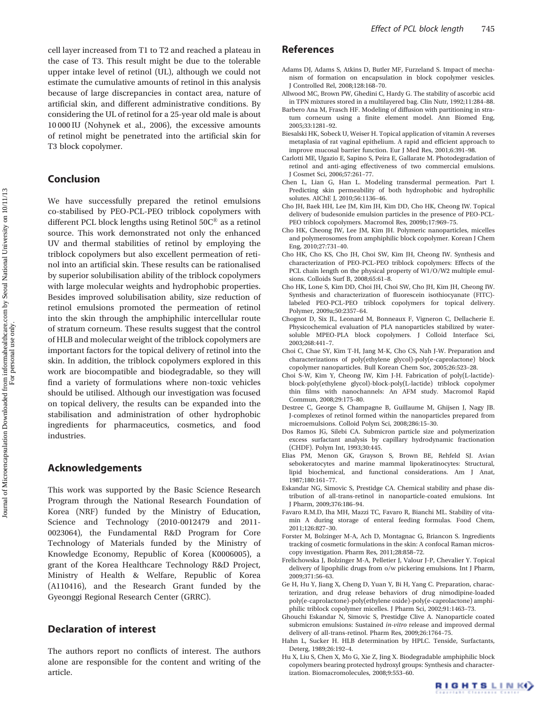cell layer increased from T1 to T2 and reached a plateau in the case of T3. This result might be due to the tolerable upper intake level of retinol (UL), although we could not estimate the cumulative amounts of retinol in this analysis because of large discrepancies in contact area, nature of artificial skin, and different administrative conditions. By considering the UL of retinol for a 25-year old male is about 10 000 IU (Nohynek et al., 2006), the excessive amounts of retinol might be penetrated into the artificial skin for T3 block copolymer.

# Conclusion

We have successfully prepared the retinol emulsions co-stabilised by PEO-PCL-PEO triblock copolymers with different PCL block lengths using Retinol 50C® as a retinol source. This work demonstrated not only the enhanced UV and thermal stabilities of retinol by employing the triblock copolymers but also excellent permeation of retinol into an artificial skin. These results can be rationalised by superior solubilisation ability of the triblock copolymers with large molecular weights and hydrophobic properties. Besides improved solubilisation ability, size reduction of retinol emulsions promoted the permeation of retinol into the skin through the amphiphilic intercellular route of stratum corneum. These results suggest that the control of HLB and molecular weight of the triblock copolymers are important factors for the topical delivery of retinol into the skin. In addition, the triblock copolymers explored in this work are biocompatible and biodegradable, so they will find a variety of formulations where non-toxic vehicles should be utilised. Although our investigation was focused on topical delivery, the results can be expanded into the stabilisation and administration of other hydrophobic ingredients for pharmaceutics, cosmetics, and food industries.

# Acknowledgements

This work was supported by the Basic Science Research Program through the National Research Foundation of Korea (NRF) funded by the Ministry of Education, Science and Technology (2010-0012479 and 2011- 0023064), the Fundamental R&D Program for Core Technology of Materials funded by the Ministry of Knowledge Economy, Republic of Korea (K0006005), a grant of the Korea Healthcare Technology R&D Project, Ministry of Health & Welfare, Republic of Korea (A110416), and the Research Grant funded by the Gyeonggi Regional Research Center (GRRC).

# Declaration of interest

The authors report no conflicts of interest. The authors alone are responsible for the content and writing of the article.

## References

- Adams DJ, Adams S, Atkins D, Butler MF, Furzeland S. Impact of mechanism of formation on encapsulation in block copolymer vesicles. J Controlled Rel, 2008;128:168–70.
- Allwood MC, Brown PW, Ghedini C, Hardy G. The stability of ascorbic acid in TPN mixtures stored in a multilayered bag. Clin Nutr, 1992;11:284–88.
- Barbero Ana M, Frasch HF. Modeling of diffusion with partitioning in stratum corneum using a finite element model. Ann Biomed Eng, 2005;33:1281–92.
- Biesalski HK, Sobeck U, Weiser H. Topical application of vitamin A reverses metaplasia of rat vaginal epithelium. A rapid and efficient approach to improve mucosal barrier function. Eur J Med Res, 2001;6:391–98.
- Carlotti ME, Ugazio E, Sapino S, Peira E, Gallarate M. Photodegradation of retinol and anti-aging effectiveness of two commercial emulsions. J Cosmet Sci, 2006;57:261–77.
- Chen L, Lian G, Han L. Modeling transdermal permeation. Part I. Predicting skin permeability of both hydrophobic and hydrophilic solutes. AIChE J, 2010;56:1136–46.
- Cho JH, Baek HH, Lee JM, Kim JH, Kim DD, Cho HK, Cheong IW. Topical delivery of budesonide emulsion particles in the presence of PEO-PCL-PEO triblock copolymers. Macromol Res, 2009b;17:969–75.
- Cho HK, Cheong IW, Lee JM, Kim JH. Polymeric nanoparticles, micelles and polymerosomes from amphiphilic block copolymer. Korean J Chem Eng, 2010;27:731–40.
- Cho HK, Cho KS, Cho JH, Choi SW, Kim JH, Cheong IW. Synthesis and characterization of PEO-PCL-PEO triblock copolymers: Effects of the PCL chain length on the physical property of W1/O/W2 multiple emulsions. Colloids Surf B, 2008;65:61–8.
- Cho HK, Lone S, Kim DD, Choi JH, Choi SW, Cho JH, Kim JH, Cheong IW. Synthesis and characterization of fluorescein isothiocyanate (FITC) labeled PEO-PCL-PEO triblock copolymers for topical delivery. Polymer, 2009a;50:2357–64.
- Chognot D, Six JL, Leonard M, Bonneaux F, Vigneron C, Dellacherie E. Physicochemical evaluation of PLA nanoparticles stabilized by watersoluble MPEO-PLA block copolymers. J Colloid Interface Sci, 2003;268:441–7.
- Choi C, Chae SY, Kim T-H, Jang M-K, Cho CS, Nah J-W. Preparation and characterizations of poly(ethylene glycol)-poly(e-caprolactone) block copolymer nanoparticles. Bull Korean Chem Soc, 2005;26:523–28.
- Choi S-W, Kim Y, Cheong IW, Kim J-H. Fabrication of poly(L-lactide) block-poly(ethylene glycol)-block-poly(L-lactide) triblock copolymer thin films with nanochannels: An AFM study. Macromol Rapid Commun, 2008;29:175–80.
- Destree C, George S, Champagne B, Guillaume M, Ghijsen J, Nagy JB. J-complexes of retinol formed within the nanoparticles prepared from microemulsions. Colloid Polym Sci, 2008;286:15–30.
- Dos Ramos JG, Silebi CA. Submicron particle size and polymerization excess surfactant analysis by capillary hydrodynamic fractionation (CHDF). Polym Int, 1993;30:445.
- Elias PM, Menon GK, Grayson S, Brown BE, Rehfeld SJ. Avian sebokeratocytes and marine mammal lipokeratinocytes: Structural, lipid biochemical, and functional considerations. Am J Anat, 1987;180:161–77.
- Eskandar NG, Simovic S, Prestidge CA. Chemical stability and phase distribution of all-trans-retinol in nanoparticle-coated emulsions. Int J Pharm, 2009;376:186–94.
- Favaro R.M.D, Iha MH, Mazzi TC, Favaro R, Bianchi ML. Stability of vitamin A during storage of enteral feeding formulas. Food Chem, 2011;126:827–30.
- Forster M, Bolzinger M-A, Ach D, Montagnac G, Briancon S. Ingredients tracking of cosmetic formulations in the skin: A confocal Raman microscopy investigation. Pharm Res, 2011;28:858–72.
- Frelichowska J, Bolzinger M-A, Pelletier J, Valour J-P, Chevalier Y. Topical delivery of lipophilic drugs from o/w pickering emulsions. Int J Pharm, 2009;371:56–63.
- Ge H, Hu Y, Jiang X, Cheng D, Yuan Y, Bi H, Yang C. Preparation, characterization, and drug release behaviors of drug nimodipine-loaded poly(e-caprolactone)-poly(ethylene oxide)-poly(e-caprolactone) amphiphilic triblock copolymer micelles. J Pharm Sci, 2002;91:1463–73.
- Ghouchi Eskandar N, Simovic S, Prestidge Clive A. Nanoparticle coated submicron emulsions: Sustained *in-vitro* release and improved dermal delivery of all-trans-retinol. Pharm Res, 2009;26:1764–75.
- Hahn L, Sucker H. HLB determination by HPLC. Tenside, Surfactants, Deterg, 1989;26:192–4.
- Hu X, Liu S, Chen X, Mo G, Xie Z, Jing X. Biodegradable amphiphilic block copolymers bearing protected hydroxyl groups: Synthesis and characterization. Biomacromolecules, 2008;9:553–60.